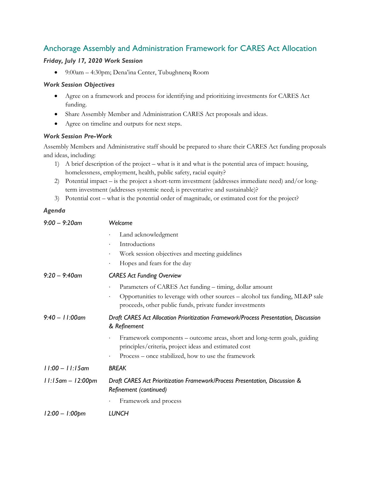# Anchorage Assembly and Administration Framework for CARES Act Allocation

## *Friday, July 17, 2020 Work Session*

• 9:00am – 4:30pm; Dena'ina Center, Tubughnenq Room

#### *Work Session Objectives*

- Agree on a framework and process for identifying and prioritizing investments for CARES Act funding.
- Share Assembly Member and Administration CARES Act proposals and ideas.
- Agree on timeline and outputs for next steps.

## *Work Session Pre-Work*

Assembly Members and Administrative staff should be prepared to share their CARES Act funding proposals and ideas, including:

- 1) A brief description of the project what is it and what is the potential area of impact: housing, homelessness, employment, health, public safety, racial equity?
- 2) Potential impact is the project a short-term investment (addresses immediate need) and/or longterm investment (addresses systemic need; is preventative and sustainable)?
- 3) Potential cost what is the potential order of magnitude, or estimated cost for the project?

# *Agenda*

| $9:00 - 9:20$ am     | Welcome                                                                                                                                                |
|----------------------|--------------------------------------------------------------------------------------------------------------------------------------------------------|
|                      | Land acknowledgment                                                                                                                                    |
|                      | Introductions<br>$\bullet$                                                                                                                             |
|                      | Work session objectives and meeting guidelines<br>$\bullet$                                                                                            |
|                      | Hopes and fears for the day<br>$\bullet$                                                                                                               |
| $9:20 - 9:40$ am     | <b>CARES Act Funding Overview</b>                                                                                                                      |
|                      | Parameters of CARES Act funding - timing, dollar amount                                                                                                |
|                      | Opportunities to leverage with other sources - alcohol tax funding, ML&P sale<br>$\bullet$<br>proceeds, other public funds, private funder investments |
| $9:40 - 11:00$ am    | Draft CARES Act Allocation Prioritization Framework/Process Presentation, Discussion<br>& Refinement                                                   |
|                      | Framework components – outcome areas, short and long-term goals, guiding<br>$\bullet$<br>principles/criteria, project ideas and estimated cost         |
|                      | Process – once stabilized, how to use the framework<br>$\bullet$                                                                                       |
| $11:00 - 11:15$ am   | <b>BREAK</b>                                                                                                                                           |
| $11:15$ am – 12:00pm | Draft CARES Act Prioritization Framework/Process Presentation, Discussion &<br>Refinement (continued)                                                  |
|                      | Framework and process                                                                                                                                  |
| $12:00 - 1:00$ pm    | LUNCH                                                                                                                                                  |